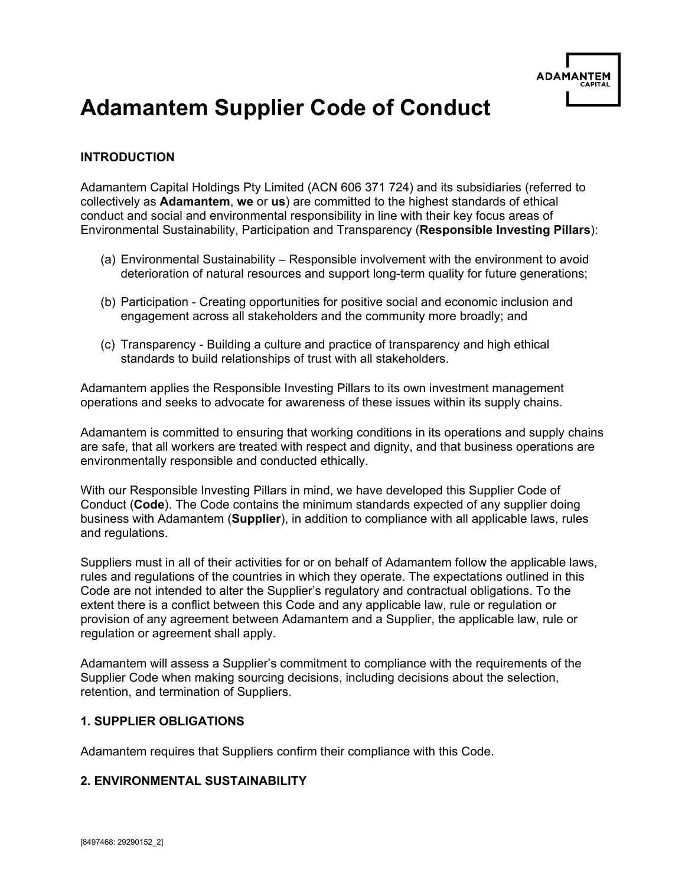

# **Adamantem Supplier Code of Conduct**

## **INTRODUCTION**

Adamantem Capital Holdings Pty Limited (ACN 606 371 724) and its subsidiaries (referred to collectively as **Adamantem**, **we** or **us**) are committed to the highest standards of ethical conduct and social and environmental responsibility in line with their key focus areas of Environmental Sustainability, Participation and Transparency (**Responsible Investing Pillars**):

- (a) Environmental Sustainability Responsible involvement with the environment to avoid deterioration of natural resources and support long-term quality for future generations;
- (b) Participation Creating opportunities for positive social and economic inclusion and engagement across all stakeholders and the community more broadly; and
- (c) Transparency Building a culture and practice of transparency and high ethical standards to build relationships of trust with all stakeholders.

Adamantem applies the Responsible Investing Pillars to its own investment management operations and seeks to advocate for awareness of these issues within its supply chains.

Adamantem is committed to ensuring that working conditions in its operations and supply chains are safe, that all workers are treated with respect and dignity, and that business operations are environmentally responsible and conducted ethically.

With our Responsible Investing Pillars in mind, we have developed this Supplier Code of Conduct (**Code**). The Code contains the minimum standards expected of any supplier doing business with Adamantem (**Supplier**), in addition to compliance with all applicable laws, rules and regulations.

Suppliers must in all of their activities for or on behalf of Adamantem follow the applicable laws, rules and regulations of the countries in which they operate. The expectations outlined in this Code are not intended to alter the Supplier's regulatory and contractual obligations. To the extent there is a conflict between this Code and any applicable law, rule or regulation or provision of any agreement between Adamantem and a Supplier, the applicable law, rule or regulation or agreement shall apply.

Adamantem will assess a Supplier's commitment to compliance with the requirements of the Supplier Code when making sourcing decisions, including decisions about the selection, retention, and termination of Suppliers.

#### **1. SUPPLIER OBLIGATIONS**

Adamantem requires that Suppliers confirm their compliance with this Code.

#### **2. ENVIRONMENTAL SUSTAINABILITY**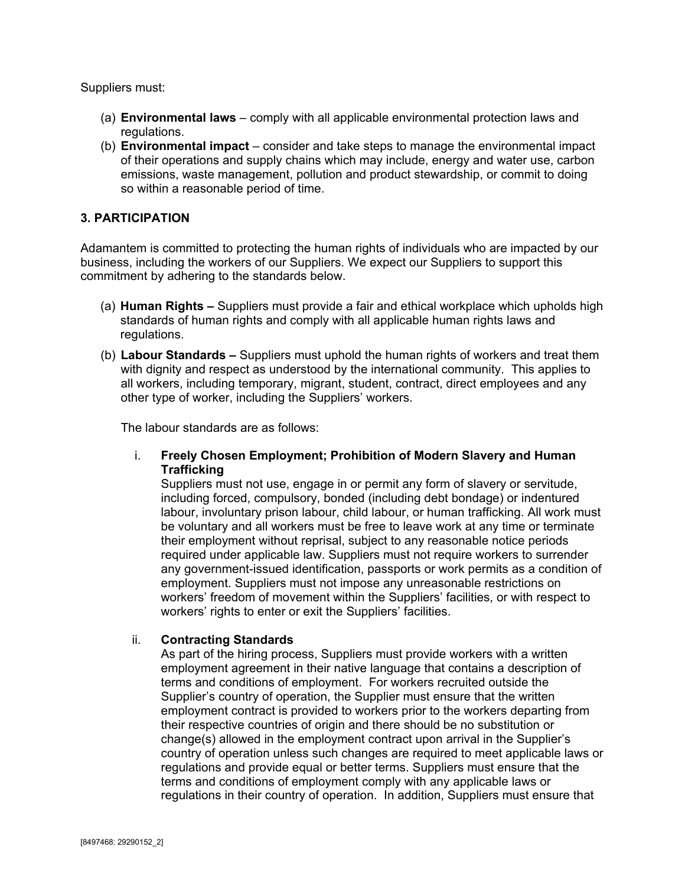Suppliers must:

- (a) **Environmental laws** comply with all applicable environmental protection laws and regulations.
- (b) **Environmental impact** consider and take steps to manage the environmental impact of their operations and supply chains which may include, energy and water use, carbon emissions, waste management, pollution and product stewardship, or commit to doing so within a reasonable period of time.

## **3. PARTICIPATION**

Adamantem is committed to protecting the human rights of individuals who are impacted by our business, including the workers of our Suppliers. We expect our Suppliers to support this commitment by adhering to the standards below.

- (a) **Human Rights –** Suppliers must provide a fair and ethical workplace which upholds high standards of human rights and comply with all applicable human rights laws and regulations.
- (b) **Labour Standards –** Suppliers must uphold the human rights of workers and treat them with dignity and respect as understood by the international community. This applies to all workers, including temporary, migrant, student, contract, direct employees and any other type of worker, including the Suppliers' workers.

The labour standards are as follows:

i. **Freely Chosen Employment; Prohibition of Modern Slavery and Human Trafficking**

Suppliers must not use, engage in or permit any form of slavery or servitude, including forced, compulsory, bonded (including debt bondage) or indentured labour, involuntary prison labour, child labour, or human trafficking. All work must be voluntary and all workers must be free to leave work at any time or terminate their employment without reprisal, subject to any reasonable notice periods required under applicable law. Suppliers must not require workers to surrender any government-issued identification, passports or work permits as a condition of employment. Suppliers must not impose any unreasonable restrictions on workers' freedom of movement within the Suppliers' facilities, or with respect to workers' rights to enter or exit the Suppliers' facilities.

#### ii. **Contracting Standards**

As part of the hiring process, Suppliers must provide workers with a written employment agreement in their native language that contains a description of terms and conditions of employment. For workers recruited outside the Supplier's country of operation, the Supplier must ensure that the written employment contract is provided to workers prior to the workers departing from their respective countries of origin and there should be no substitution or change(s) allowed in the employment contract upon arrival in the Supplier's country of operation unless such changes are required to meet applicable laws or regulations and provide equal or better terms. Suppliers must ensure that the terms and conditions of employment comply with any applicable laws or regulations in their country of operation. In addition, Suppliers must ensure that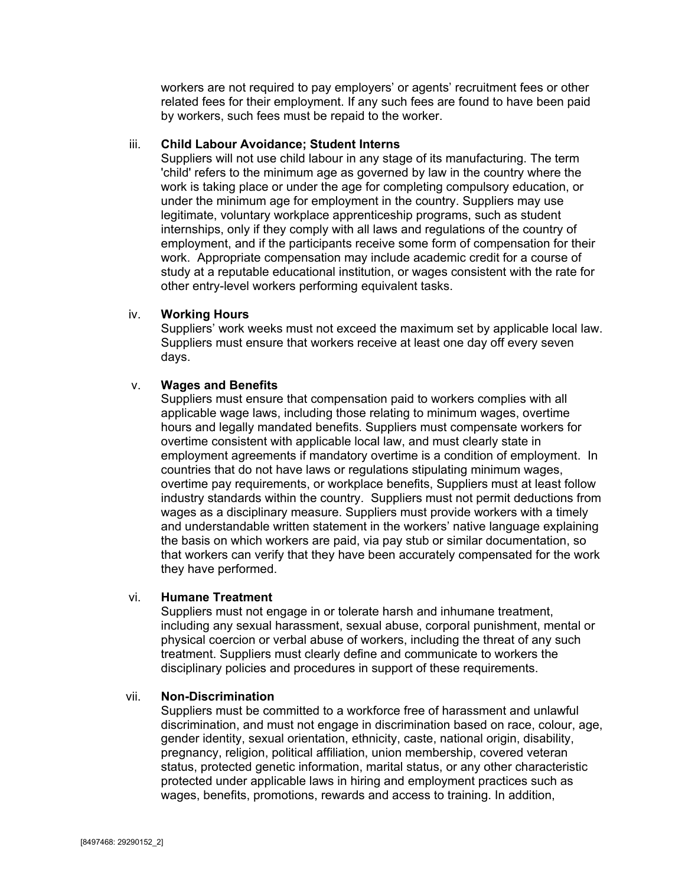workers are not required to pay employers' or agents' recruitment fees or other related fees for their employment. If any such fees are found to have been paid by workers, such fees must be repaid to the worker.

#### iii. **Child Labour Avoidance; Student Interns**

Suppliers will not use child labour in any stage of its manufacturing. The term 'child' refers to the minimum age as governed by law in the country where the work is taking place or under the age for completing compulsory education, or under the minimum age for employment in the country. Suppliers may use legitimate, voluntary workplace apprenticeship programs, such as student internships, only if they comply with all laws and regulations of the country of employment, and if the participants receive some form of compensation for their work. Appropriate compensation may include academic credit for a course of study at a reputable educational institution, or wages consistent with the rate for other entry-level workers performing equivalent tasks.

#### iv. **Working Hours**

Suppliers' work weeks must not exceed the maximum set by applicable local law. Suppliers must ensure that workers receive at least one day off every seven days.

#### v. **Wages and Benefits**

Suppliers must ensure that compensation paid to workers complies with all applicable wage laws, including those relating to minimum wages, overtime hours and legally mandated benefits. Suppliers must compensate workers for overtime consistent with applicable local law, and must clearly state in employment agreements if mandatory overtime is a condition of employment. In countries that do not have laws or regulations stipulating minimum wages, overtime pay requirements, or workplace benefits, Suppliers must at least follow industry standards within the country. Suppliers must not permit deductions from wages as a disciplinary measure. Suppliers must provide workers with a timely and understandable written statement in the workers' native language explaining the basis on which workers are paid, via pay stub or similar documentation, so that workers can verify that they have been accurately compensated for the work they have performed.

#### vi. **Humane Treatment**

Suppliers must not engage in or tolerate harsh and inhumane treatment, including any sexual harassment, sexual abuse, corporal punishment, mental or physical coercion or verbal abuse of workers, including the threat of any such treatment. Suppliers must clearly define and communicate to workers the disciplinary policies and procedures in support of these requirements.

#### vii. **Non-Discrimination**

Suppliers must be committed to a workforce free of harassment and unlawful discrimination, and must not engage in discrimination based on race, colour, age, gender identity, sexual orientation, ethnicity, caste, national origin, disability, pregnancy, religion, political affiliation, union membership, covered veteran status, protected genetic information, marital status, or any other characteristic protected under applicable laws in hiring and employment practices such as wages, benefits, promotions, rewards and access to training. In addition,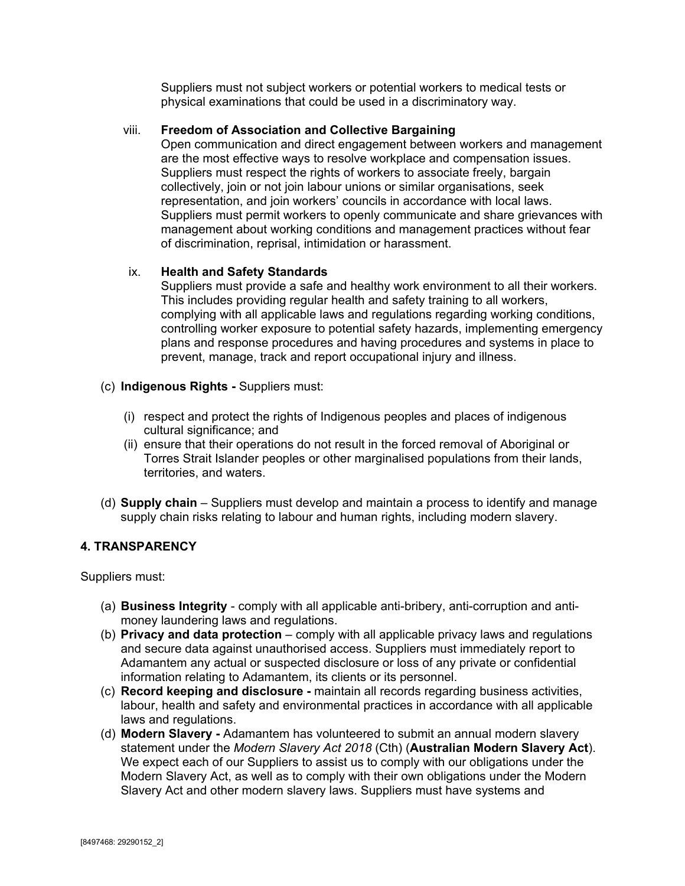Suppliers must not subject workers or potential workers to medical tests or physical examinations that could be used in a discriminatory way.

## viii. **Freedom of Association and Collective Bargaining**

Open communication and direct engagement between workers and management are the most effective ways to resolve workplace and compensation issues. Suppliers must respect the rights of workers to associate freely, bargain collectively, join or not join labour unions or similar organisations, seek representation, and join workers' councils in accordance with local laws. Suppliers must permit workers to openly communicate and share grievances with management about working conditions and management practices without fear of discrimination, reprisal, intimidation or harassment.

## ix. **Health and Safety Standards**

Suppliers must provide a safe and healthy work environment to all their workers. This includes providing regular health and safety training to all workers, complying with all applicable laws and regulations regarding working conditions, controlling worker exposure to potential safety hazards, implementing emergency plans and response procedures and having procedures and systems in place to prevent, manage, track and report occupational injury and illness.

- (c) **Indigenous Rights -** Suppliers must:
	- (i) respect and protect the rights of Indigenous peoples and places of indigenous cultural significance; and
	- (ii) ensure that their operations do not result in the forced removal of Aboriginal or Torres Strait Islander peoples or other marginalised populations from their lands, territories, and waters.
- (d) **Supply chain**  Suppliers must develop and maintain a process to identify and manage supply chain risks relating to labour and human rights, including modern slavery.

## **4. TRANSPARENCY**

Suppliers must:

- (a) **Business Integrity** comply with all applicable anti-bribery, anti-corruption and antimoney laundering laws and regulations.
- (b) **Privacy and data protection**  comply with all applicable privacy laws and regulations and secure data against unauthorised access. Suppliers must immediately report to Adamantem any actual or suspected disclosure or loss of any private or confidential information relating to Adamantem, its clients or its personnel.
- (c) **Record keeping and disclosure -** maintain all records regarding business activities, labour, health and safety and environmental practices in accordance with all applicable laws and regulations.
- (d) **Modern Slavery -** Adamantem has volunteered to submit an annual modern slavery statement under the *Modern Slavery Act 2018* (Cth) (**Australian Modern Slavery Act**). We expect each of our Suppliers to assist us to comply with our obligations under the Modern Slavery Act, as well as to comply with their own obligations under the Modern Slavery Act and other modern slavery laws. Suppliers must have systems and